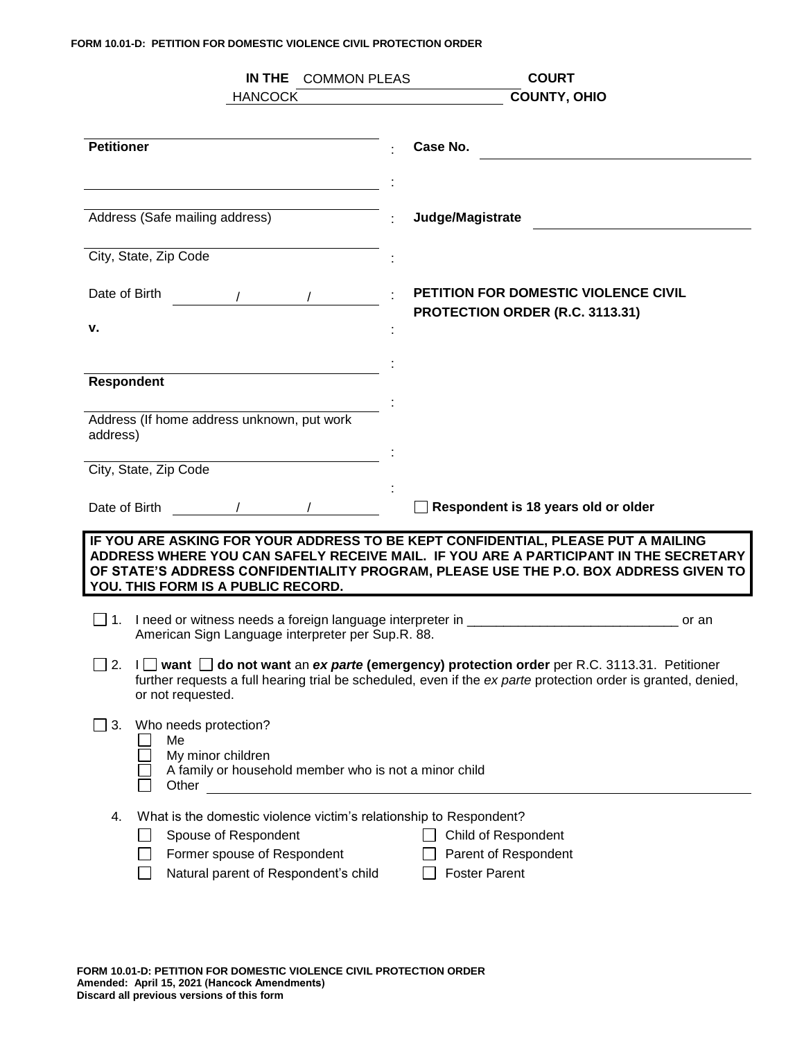## **FORM 10.01-D: PETITION FOR DOMESTIC VIOLENCE CIVIL PROTECTION ORDER**

|                                                                                                                                                                                                                                                                  | <b>COMMON PLEAS</b><br>IN THE<br><b>COURT</b>                                                                                                                                                                 |  |  |  |  |  |
|------------------------------------------------------------------------------------------------------------------------------------------------------------------------------------------------------------------------------------------------------------------|---------------------------------------------------------------------------------------------------------------------------------------------------------------------------------------------------------------|--|--|--|--|--|
| <b>HANCOCK</b>                                                                                                                                                                                                                                                   | <b>COUNTY, OHIO</b>                                                                                                                                                                                           |  |  |  |  |  |
|                                                                                                                                                                                                                                                                  |                                                                                                                                                                                                               |  |  |  |  |  |
| <b>Petitioner</b>                                                                                                                                                                                                                                                | Case No.                                                                                                                                                                                                      |  |  |  |  |  |
|                                                                                                                                                                                                                                                                  |                                                                                                                                                                                                               |  |  |  |  |  |
| Address (Safe mailing address)                                                                                                                                                                                                                                   | Judge/Magistrate                                                                                                                                                                                              |  |  |  |  |  |
| City, State, Zip Code                                                                                                                                                                                                                                            |                                                                                                                                                                                                               |  |  |  |  |  |
| Date of Birth                                                                                                                                                                                                                                                    | <b>PETITION FOR DOMESTIC VIOLENCE CIVIL</b><br>PROTECTION ORDER (R.C. 3113.31)                                                                                                                                |  |  |  |  |  |
| v.                                                                                                                                                                                                                                                               |                                                                                                                                                                                                               |  |  |  |  |  |
|                                                                                                                                                                                                                                                                  |                                                                                                                                                                                                               |  |  |  |  |  |
| Respondent                                                                                                                                                                                                                                                       |                                                                                                                                                                                                               |  |  |  |  |  |
|                                                                                                                                                                                                                                                                  |                                                                                                                                                                                                               |  |  |  |  |  |
| Address (If home address unknown, put work<br>address)                                                                                                                                                                                                           |                                                                                                                                                                                                               |  |  |  |  |  |
|                                                                                                                                                                                                                                                                  |                                                                                                                                                                                                               |  |  |  |  |  |
| City, State, Zip Code                                                                                                                                                                                                                                            |                                                                                                                                                                                                               |  |  |  |  |  |
| Date of Birth                                                                                                                                                                                                                                                    | Respondent is 18 years old or older                                                                                                                                                                           |  |  |  |  |  |
| IF YOU ARE ASKING FOR YOUR ADDRESS TO BE KEPT CONFIDENTIAL, PLEASE PUT A MAILING<br>ADDRESS WHERE YOU CAN SAFELY RECEIVE MAIL. IF YOU ARE A PARTICIPANT IN THE SECRETARY<br>OF STATE'S ADDRESS CONFIDENTIALITY PROGRAM, PLEASE USE THE P.O. BOX ADDRESS GIVEN TO |                                                                                                                                                                                                               |  |  |  |  |  |
| YOU. THIS FORM IS A PUBLIC RECORD.                                                                                                                                                                                                                               |                                                                                                                                                                                                               |  |  |  |  |  |
|                                                                                                                                                                                                                                                                  |                                                                                                                                                                                                               |  |  |  |  |  |
| American Sign Language interpreter per Sup.R. 88.                                                                                                                                                                                                                | or an                                                                                                                                                                                                         |  |  |  |  |  |
| 2.<br>or not requested.                                                                                                                                                                                                                                          | I   want   do not want an ex parte (emergency) protection order per R.C. 3113.31. Petitioner<br>further requests a full hearing trial be scheduled, even if the ex parte protection order is granted, denied, |  |  |  |  |  |
| Who needs protection?<br>3.<br>Me<br>My minor children<br>A family or household member who is not a minor child<br>Other                                                                                                                                         |                                                                                                                                                                                                               |  |  |  |  |  |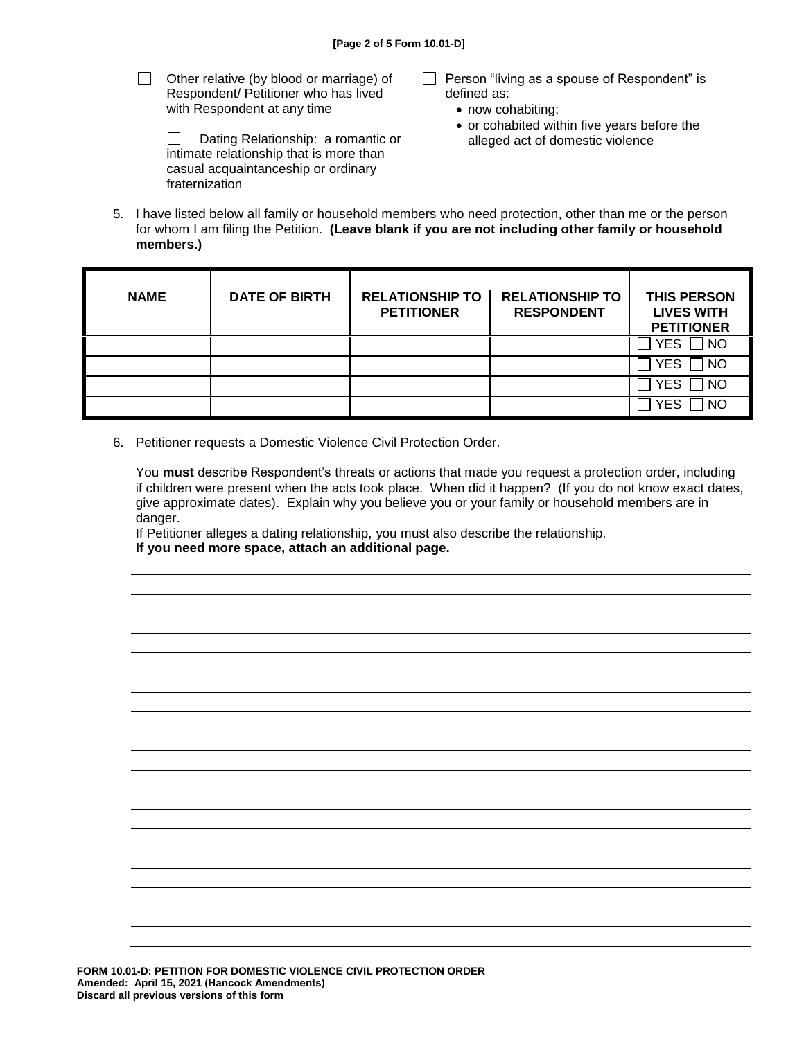- $\Box$  Other relative (by blood or marriage) of Respondent/ Petitioner who has lived with Respondent at any time
	- $\Box$  Dating Relationship: a romantic or intimate relationship that is more than casual acquaintanceship or ordinary fraternization
- $\Box$  Person "living as a spouse of Respondent" is defined as:
	- now cohabiting;
	- or cohabited within five years before the alleged act of domestic violence
- 5. I have listed below all family or household members who need protection, other than me or the person for whom I am filing the Petition. **(Leave blank if you are not including other family or household members.)**

| <b>NAME</b> | <b>DATE OF BIRTH</b> | <b>RELATIONSHIP TO</b><br><b>PETITIONER</b> | <b>RELATIONSHIP TO</b><br><b>RESPONDENT</b> | <b>THIS PERSON</b><br><b>LIVES WITH</b><br><b>PETITIONER</b> |
|-------------|----------------------|---------------------------------------------|---------------------------------------------|--------------------------------------------------------------|
|             |                      |                                             |                                             | $\Box$ NO<br><b>YES</b>                                      |
|             |                      |                                             |                                             | $\sqcap$ NO<br><b>YES</b>                                    |
|             |                      |                                             |                                             | ] NO<br><b>YES</b>                                           |
|             |                      |                                             |                                             | YFS<br><b>NC</b>                                             |

6. Petitioner requests a Domestic Violence Civil Protection Order.

You **must** describe Respondent's threats or actions that made you request a protection order, including if children were present when the acts took place. When did it happen? (If you do not know exact dates, give approximate dates). Explain why you believe you or your family or household members are in danger.

If Petitioner alleges a dating relationship, you must also describe the relationship. **If you need more space, attach an additional page.**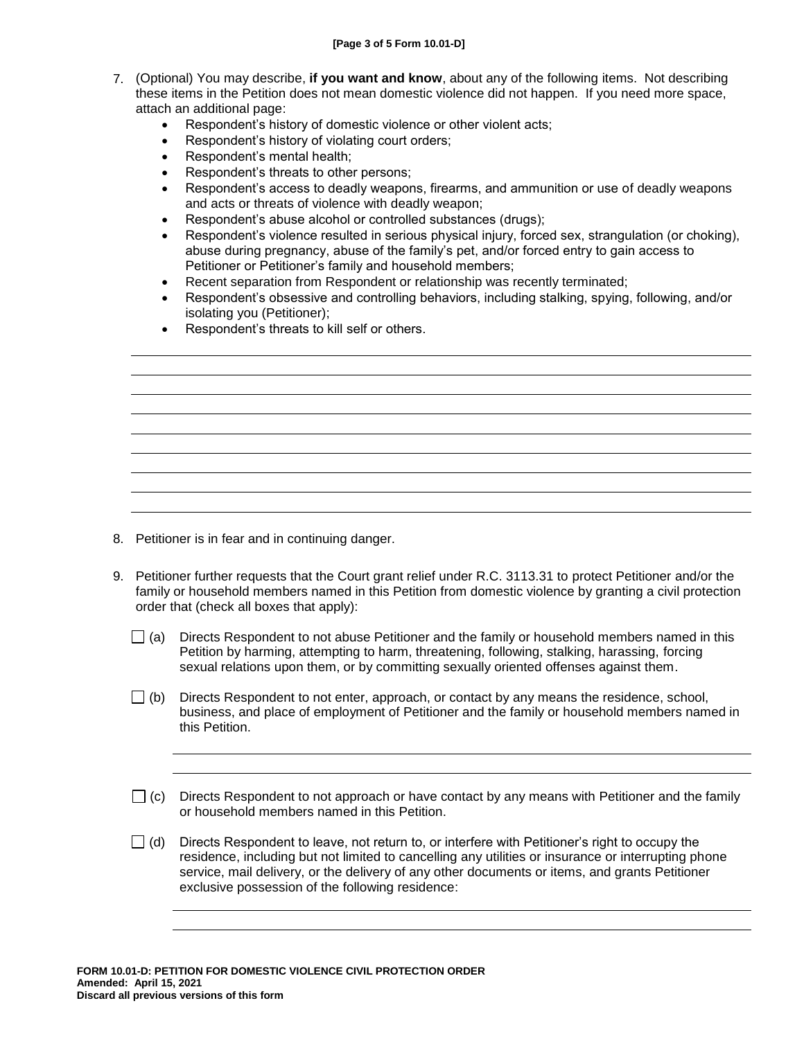- 7. (Optional) You may describe, **if you want and know**, about any of the following items. Not describing these items in the Petition does not mean domestic violence did not happen. If you need more space, attach an additional page:
	- Respondent's history of domestic violence or other violent acts;
	- Respondent's history of violating court orders;
	- Respondent's mental health;
	- Respondent's threats to other persons;
	- Respondent's access to deadly weapons, firearms, and ammunition or use of deadly weapons and acts or threats of violence with deadly weapon;
	- Respondent's abuse alcohol or controlled substances (drugs);
	- Respondent's violence resulted in serious physical injury, forced sex, strangulation (or choking), abuse during pregnancy, abuse of the family's pet, and/or forced entry to gain access to Petitioner or Petitioner's family and household members;
	- Recent separation from Respondent or relationship was recently terminated;
	- Respondent's obsessive and controlling behaviors, including stalking, spying, following, and/or isolating you (Petitioner);
	- Respondent's threats to kill self or others.

- 8. Petitioner is in fear and in continuing danger.
- 9. Petitioner further requests that the Court grant relief under R.C. 3113.31 to protect Petitioner and/or the family or household members named in this Petition from domestic violence by granting a civil protection order that (check all boxes that apply):
	- $\Box$  (a) Directs Respondent to not abuse Petitioner and the family or household members named in this Petition by harming, attempting to harm, threatening, following, stalking, harassing, forcing sexual relations upon them, or by committing sexually oriented offenses against them.
	- $\Box$  (b) Directs Respondent to not enter, approach, or contact by any means the residence, school, business, and place of employment of Petitioner and the family or household members named in this Petition.
	- $\Box$  (c) Directs Respondent to not approach or have contact by any means with Petitioner and the family or household members named in this Petition.
	- $\Box$  (d) Directs Respondent to leave, not return to, or interfere with Petitioner's right to occupy the residence, including but not limited to cancelling any utilities or insurance or interrupting phone service, mail delivery, or the delivery of any other documents or items, and grants Petitioner exclusive possession of the following residence: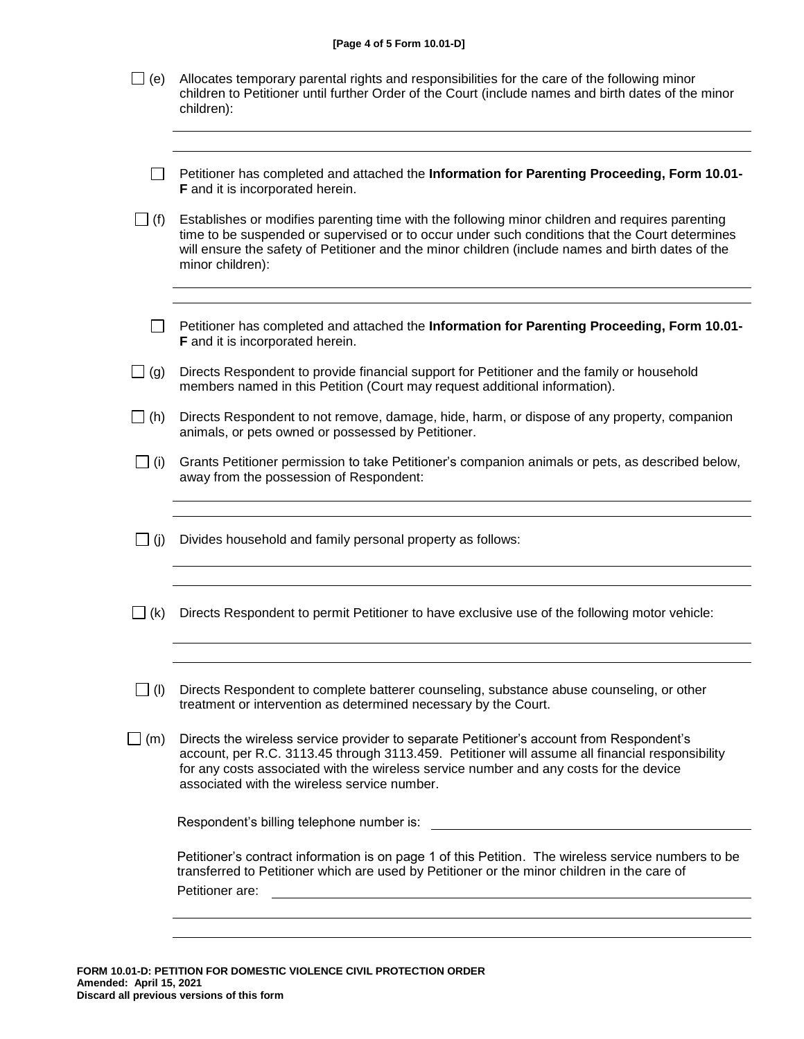|               | [Page 4 of 5 Form 10.01-D]                                                                                                                                                                                                                                                                                                            |  |  |  |  |  |
|---------------|---------------------------------------------------------------------------------------------------------------------------------------------------------------------------------------------------------------------------------------------------------------------------------------------------------------------------------------|--|--|--|--|--|
| (e)           | Allocates temporary parental rights and responsibilities for the care of the following minor<br>children to Petitioner until further Order of the Court (include names and birth dates of the minor<br>children):                                                                                                                     |  |  |  |  |  |
|               |                                                                                                                                                                                                                                                                                                                                       |  |  |  |  |  |
|               | Petitioner has completed and attached the Information for Parenting Proceeding, Form 10.01-<br>F and it is incorporated herein.                                                                                                                                                                                                       |  |  |  |  |  |
| $\rfloor$ (f) | Establishes or modifies parenting time with the following minor children and requires parenting<br>time to be suspended or supervised or to occur under such conditions that the Court determines<br>will ensure the safety of Petitioner and the minor children (include names and birth dates of the<br>minor children):            |  |  |  |  |  |
|               |                                                                                                                                                                                                                                                                                                                                       |  |  |  |  |  |
|               | Petitioner has completed and attached the Information for Parenting Proceeding, Form 10.01-<br>F and it is incorporated herein.                                                                                                                                                                                                       |  |  |  |  |  |
| (g)           | Directs Respondent to provide financial support for Petitioner and the family or household<br>members named in this Petition (Court may request additional information).                                                                                                                                                              |  |  |  |  |  |
| $\Box$ (h)    | Directs Respondent to not remove, damage, hide, harm, or dispose of any property, companion<br>animals, or pets owned or possessed by Petitioner.                                                                                                                                                                                     |  |  |  |  |  |
| $\Box$ (i)    | Grants Petitioner permission to take Petitioner's companion animals or pets, as described below,<br>away from the possession of Respondent:                                                                                                                                                                                           |  |  |  |  |  |
|               |                                                                                                                                                                                                                                                                                                                                       |  |  |  |  |  |
| $\Box$ (j)    | Divides household and family personal property as follows:                                                                                                                                                                                                                                                                            |  |  |  |  |  |
|               |                                                                                                                                                                                                                                                                                                                                       |  |  |  |  |  |
| (k)           | Directs Respondent to permit Petitioner to have exclusive use of the following motor vehicle:                                                                                                                                                                                                                                         |  |  |  |  |  |
|               |                                                                                                                                                                                                                                                                                                                                       |  |  |  |  |  |
| $\Box$ (l)    | Directs Respondent to complete batterer counseling, substance abuse counseling, or other<br>treatment or intervention as determined necessary by the Court.                                                                                                                                                                           |  |  |  |  |  |
| (m)           | Directs the wireless service provider to separate Petitioner's account from Respondent's<br>account, per R.C. 3113.45 through 3113.459. Petitioner will assume all financial responsibility<br>for any costs associated with the wireless service number and any costs for the device<br>associated with the wireless service number. |  |  |  |  |  |
|               | Respondent's billing telephone number is:                                                                                                                                                                                                                                                                                             |  |  |  |  |  |
|               | Petitioner's contract information is on page 1 of this Petition. The wireless service numbers to be<br>transferred to Petitioner which are used by Petitioner or the minor children in the care of<br>Petitioner are:                                                                                                                 |  |  |  |  |  |